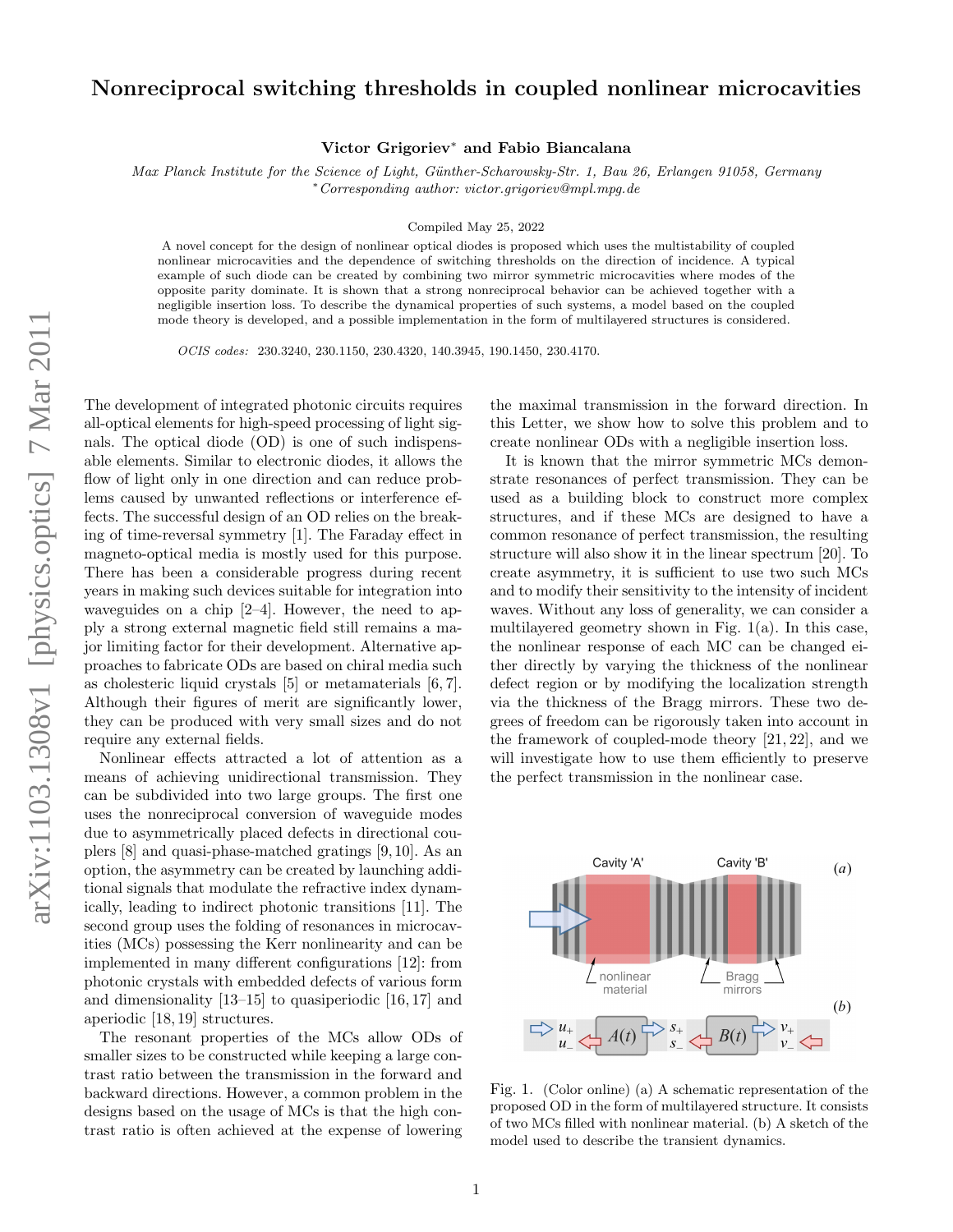## Nonreciprocal switching thresholds in coupled nonlinear microcavities

Victor Grigoriev<sup>∗</sup> and Fabio Biancalana

Max Planck Institute for the Science of Light, Günther-Scharowsky-Str. 1, Bau 26, Erlangen 91058, Germany <sup>∗</sup>Corresponding author: victor.grigoriev@mpl.mpg.de

Compiled May 25, 2022

A novel concept for the design of nonlinear optical diodes is proposed which uses the multistability of coupled nonlinear microcavities and the dependence of switching thresholds on the direction of incidence. A typical example of such diode can be created by combining two mirror symmetric microcavities where modes of the opposite parity dominate. It is shown that a strong nonreciprocal behavior can be achieved together with a negligible insertion loss. To describe the dynamical properties of such systems, a model based on the coupled mode theory is developed, and a possible implementation in the form of multilayered structures is considered.

OCIS codes: 230.3240, 230.1150, 230.4320, 140.3945, 190.1450, 230.4170.

The development of integrated photonic circuits requires all-optical elements for high-speed processing of light signals. The optical diode (OD) is one of such indispensable elements. Similar to electronic diodes, it allows the flow of light only in one direction and can reduce problems caused by unwanted reflections or interference effects. The successful design of an OD relies on the breaking of time-reversal symmetry [1]. The Faraday effect in magneto-optical media is mostly used for this purpose. There has been a considerable progress during recent years in making such devices suitable for integration into waveguides on a chip [2–4]. However, the need to apply a strong external magnetic field still remains a major limiting factor for their development. Alternative approaches to fabricate ODs are based on chiral media such as cholesteric liquid crystals [5] or metamaterials [6, 7]. Although their figures of merit are significantly lower, they can be produced with very small sizes and do not require any external fields.

Nonlinear effects attracted a lot of attention as a means of achieving unidirectional transmission. They can be subdivided into two large groups. The first one uses the nonreciprocal conversion of waveguide modes due to asymmetrically placed defects in directional couplers [8] and quasi-phase-matched gratings [9, 10]. As an option, the asymmetry can be created by launching additional signals that modulate the refractive index dynamically, leading to indirect photonic transitions [11]. The second group uses the folding of resonances in microcavities (MCs) possessing the Kerr nonlinearity and can be implemented in many different configurations [12]: from photonic crystals with embedded defects of various form and dimensionality [13–15] to quasiperiodic [16, 17] and aperiodic [18, 19] structures.

The resonant properties of the MCs allow ODs of smaller sizes to be constructed while keeping a large contrast ratio between the transmission in the forward and backward directions. However, a common problem in the designs based on the usage of MCs is that the high contrast ratio is often achieved at the expense of lowering the maximal transmission in the forward direction. In this Letter, we show how to solve this problem and to create nonlinear ODs with a negligible insertion loss.

It is known that the mirror symmetric MCs demonstrate resonances of perfect transmission. They can be used as a building block to construct more complex structures, and if these MCs are designed to have a common resonance of perfect transmission, the resulting structure will also show it in the linear spectrum [20]. To create asymmetry, it is sufficient to use two such MCs and to modify their sensitivity to the intensity of incident waves. Without any loss of generality, we can consider a multilayered geometry shown in Fig.  $1(a)$ . In this case, the nonlinear response of each MC can be changed either directly by varying the thickness of the nonlinear defect region or by modifying the localization strength via the thickness of the Bragg mirrors. These two degrees of freedom can be rigorously taken into account in the framework of coupled-mode theory [21, 22], and we will investigate how to use them efficiently to preserve the perfect transmission in the nonlinear case.



Fig. 1. (Color online) (a) A schematic representation of the proposed OD in the form of multilayered structure. It consists of two MCs filled with nonlinear material. (b) A sketch of the model used to describe the transient dynamics.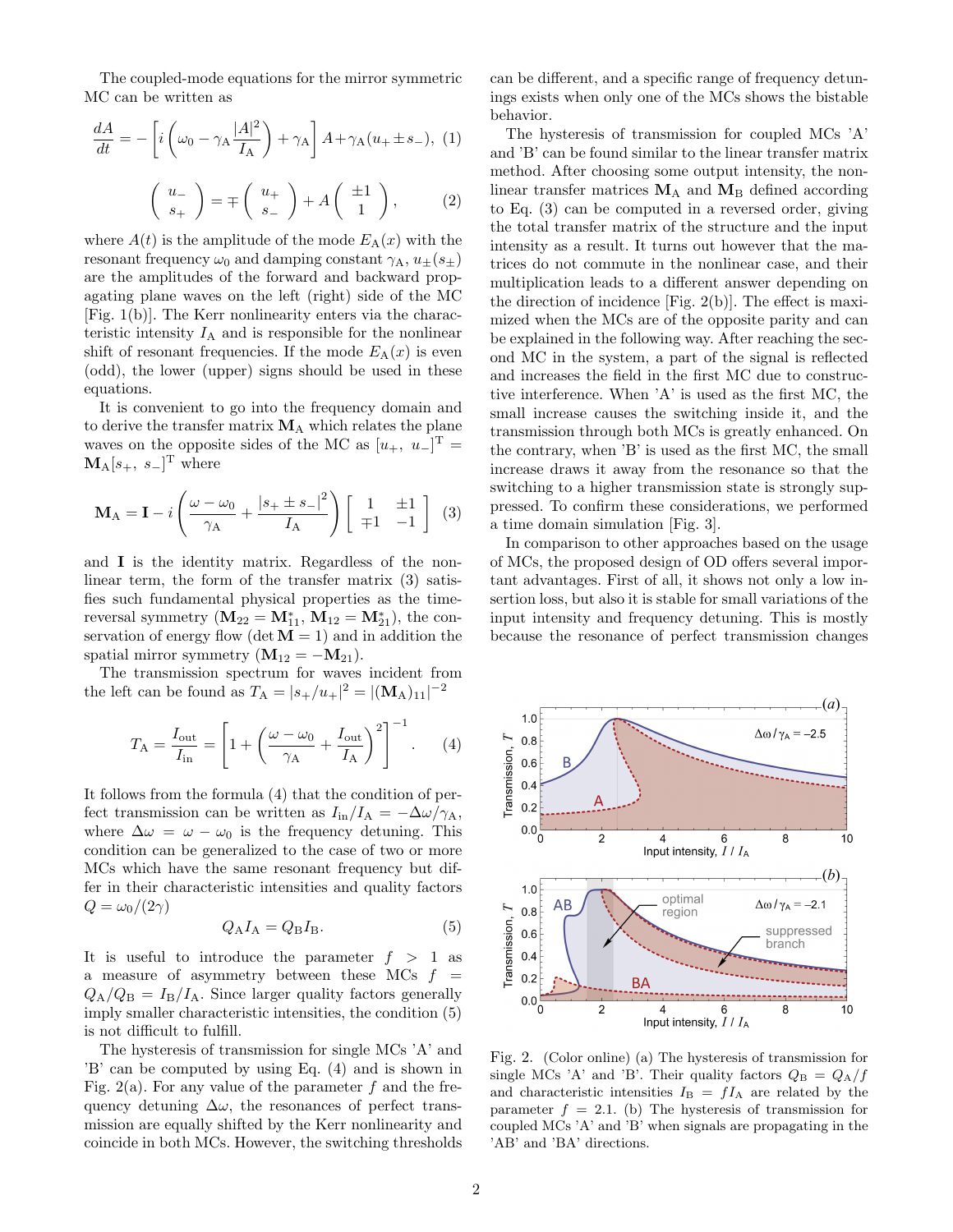The coupled-mode equations for the mirror symmetric MC can be written as

$$
\frac{dA}{dt} = -\left[i\left(\omega_0 - \gamma_A \frac{|A|^2}{I_A}\right) + \gamma_A\right]A + \gamma_A(u_+ \pm s_-), \tag{1}
$$

$$
\left(\begin{array}{c} u_- \\ s_+ \end{array}\right) = \mp \left(\begin{array}{c} u_+ \\ s_- \end{array}\right) + A \left(\begin{array}{c} \pm 1 \\ 1 \end{array}\right),\tag{2}
$$

where  $A(t)$  is the amplitude of the mode  $E_A(x)$  with the resonant frequency  $\omega_0$  and damping constant  $\gamma_A$ ,  $u_{\pm}(s_{\pm})$ are the amplitudes of the forward and backward propagating plane waves on the left (right) side of the MC [Fig. 1(b)]. The Kerr nonlinearity enters via the characteristic intensity  $I_A$  and is responsible for the nonlinear shift of resonant frequencies. If the mode  $E_A(x)$  is even (odd), the lower (upper) signs should be used in these equations.

It is convenient to go into the frequency domain and to derive the transfer matrix  $M_A$  which relates the plane waves on the opposite sides of the MC as  $[u_+, u_-]^T =$  $M_A[s_+, s_-]^T$  where

$$
\mathbf{M}_{\mathrm{A}} = \mathbf{I} - i \left( \frac{\omega - \omega_0}{\gamma_{\mathrm{A}}} + \frac{|s_+ \pm s_-|^2}{I_{\mathrm{A}}} \right) \begin{bmatrix} 1 & \pm 1 \\ \mp 1 & -1 \end{bmatrix} (3)
$$

and I is the identity matrix. Regardless of the nonlinear term, the form of the transfer matrix (3) satisfies such fundamental physical properties as the timereversal symmetry  $(M_{22} = M_{11}^* , M_{12} = M_{21}^* )$ , the conservation of energy flow (det  $M = 1$ ) and in addition the spatial mirror symmetry  $(M_{12} = -M_{21}).$ 

The transmission spectrum for waves incident from the left can be found as  $T_A = |s_+/u_+|^2 = |(\mathbf{M}_A)_{11}|^{-2}$ 

$$
T_{\rm A} = \frac{I_{\rm out}}{I_{\rm in}} = \left[1 + \left(\frac{\omega - \omega_0}{\gamma_{\rm A}} + \frac{I_{\rm out}}{I_{\rm A}}\right)^2\right]^{-1}.\tag{4}
$$

It follows from the formula (4) that the condition of perfect transmission can be written as  $I_{\text{in}}/I_{\text{A}} = -\Delta\omega/\gamma_{\text{A}},$ where  $\Delta \omega = \omega - \omega_0$  is the frequency detuning. This condition can be generalized to the case of two or more MCs which have the same resonant frequency but differ in their characteristic intensities and quality factors  $Q = \omega_0/(2\gamma)$ 

$$
Q_{\rm A}I_{\rm A} = Q_{\rm B}I_{\rm B}.\tag{5}
$$

It is useful to introduce the parameter  $f > 1$  as a measure of asymmetry between these MCs  $f =$  $Q_{\rm A}/Q_{\rm B} = I_{\rm B}/I_{\rm A}$ . Since larger quality factors generally imply smaller characteristic intensities, the condition (5) is not difficult to fulfill.

The hysteresis of transmission for single MCs 'A' and 'B' can be computed by using Eq. (4) and is shown in Fig. 2(a). For any value of the parameter  $f$  and the frequency detuning  $\Delta\omega$ , the resonances of perfect transmission are equally shifted by the Kerr nonlinearity and coincide in both MCs. However, the switching thresholds can be different, and a specific range of frequency detunings exists when only one of the MCs shows the bistable behavior.

The hysteresis of transmission for coupled MCs 'A' and 'B' can be found similar to the linear transfer matrix method. After choosing some output intensity, the nonlinear transfer matrices  $M_A$  and  $M_B$  defined according to Eq. (3) can be computed in a reversed order, giving the total transfer matrix of the structure and the input intensity as a result. It turns out however that the matrices do not commute in the nonlinear case, and their multiplication leads to a different answer depending on the direction of incidence [Fig. 2(b)]. The effect is maximized when the MCs are of the opposite parity and can be explained in the following way. After reaching the second MC in the system, a part of the signal is reflected and increases the field in the first MC due to constructive interference. When 'A' is used as the first MC, the small increase causes the switching inside it, and the transmission through both MCs is greatly enhanced. On the contrary, when 'B' is used as the first MC, the small increase draws it away from the resonance so that the switching to a higher transmission state is strongly suppressed. To confirm these considerations, we performed a time domain simulation [Fig. 3].

In comparison to other approaches based on the usage of MCs, the proposed design of OD offers several important advantages. First of all, it shows not only a low insertion loss, but also it is stable for small variations of the input intensity and frequency detuning. This is mostly because the resonance of perfect transmission changes



Fig. 2. (Color online) (a) The hysteresis of transmission for single MCs 'A' and 'B'. Their quality factors  $Q_B = Q_A/f$ and characteristic intensities  $I_{\text{B}} = fI_{\text{A}}$  are related by the parameter  $f = 2.1$ . (b) The hysteresis of transmission for coupled MCs 'A' and 'B' when signals are propagating in the 'AB' and 'BA' directions.